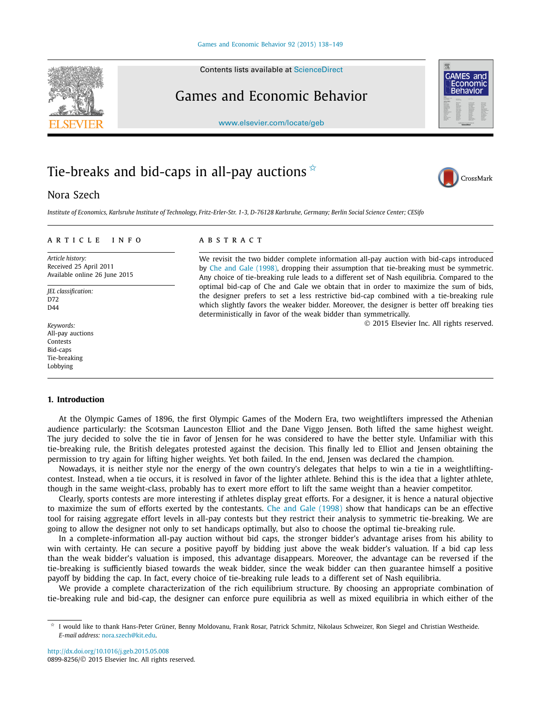Contents lists available at [ScienceDirect](http://www.ScienceDirect.com/)

# Games and Economic Behavior

[www.elsevier.com/locate/geb](http://www.elsevier.com/locate/geb)

# Tie-breaks and bid-caps in all-pay auctions  $\dot{\mathbb{X}}$

# Nora Szech

Institute of Economics. Karlsruhe Institute of Technology. Fritz-Erler-Str. 1-3. D-76128 Karlsruhe. Germany: Berlin Social Science Center: CESifo

## A R T I C L E I N F O A B S T R A C T

*Article history:* Received 25 April 2011 Available online 26 June 2015

*JEL classification:* D<sub>72</sub>  $\overline{D44}$ 

*Keywords:* All-pay auctions Contests Bid-caps Tie-breaking Lobbying

We revisit the two bidder complete information all-pay auction with bid-caps introduced by Che and [Gale \(1998\),](#page-11-0) dropping their assumption that tie-breaking must be symmetric. Any choice of tie-breaking rule leads to a different set of Nash equilibria. Compared to the optimal bid-cap of Che and Gale we obtain that in order to maximize the sum of bids, the designer prefers to set a less restrictive bid-cap combined with a tie-breaking rule which slightly favors the weaker bidder. Moreover, the designer is better off breaking ties deterministically in favor of the weak bidder than symmetrically.

© 2015 Elsevier Inc. All rights reserved.

## **1. Introduction**

At the Olympic Games of 1896, the first Olympic Games of the Modern Era, two weightlifters impressed the Athenian audience particularly: the Scotsman Launceston Elliot and the Dane Viggo Jensen. Both lifted the same highest weight. The jury decided to solve the tie in favor of Jensen for he was considered to have the better style. Unfamiliar with this tie-breaking rule, the British delegates protested against the decision. This finally led to Elliot and Jensen obtaining the permission to try again for lifting higher weights. Yet both failed. In the end, Jensen was declared the champion.

Nowadays, it is neither style nor the energy of the own country's delegates that helps to win a tie in a weightliftingcontest. Instead, when a tie occurs, it is resolved in favor of the lighter athlete. Behind this is the idea that a lighter athlete, though in the same weight-class, probably has to exert more effort to lift the same weight than a heavier competitor.

Clearly, sports contests are more interesting if athletes display great efforts. For a designer, it is hence a natural objective to maximize the sum of efforts exerted by the contestants. Che and [Gale \(1998\)](#page-11-0) show that handicaps can be an effective tool for raising aggregate effort levels in all-pay contests but they restrict their analysis to symmetric tie-breaking. We are going to allow the designer not only to set handicaps optimally, but also to choose the optimal tie-breaking rule.

In a complete-information all-pay auction without bid caps, the stronger bidder's advantage arises from his ability to win with certainty. He can secure a positive payoff by bidding just above the weak bidder's valuation. If a bid cap less than the weak bidder's valuation is imposed, this advantage disappears. Moreover, the advantage can be reversed if the tie-breaking is sufficiently biased towards the weak bidder, since the weak bidder can then guarantee himself a positive payoff by bidding the cap. In fact, every choice of tie-breaking rule leads to a different set of Nash equilibria.

We provide a complete characterization of the rich equilibrium structure. By choosing an appropriate combination of tie-breaking rule and bid-cap, the designer can enforce pure equilibria as well as mixed equilibria in which either of the

<http://dx.doi.org/10.1016/j.geb.2015.05.008> 0899-8256/© 2015 Elsevier Inc. All rights reserved.







<sup>✩</sup> I would like to thank Hans-Peter Grüner, Benny Moldovanu, Frank Rosar, Patrick Schmitz, Nikolaus Schweizer, Ron Siegel and Christian Westheide. *E-mail address:* [nora.szech@kit.edu](mailto:nora.szech@kit.edu).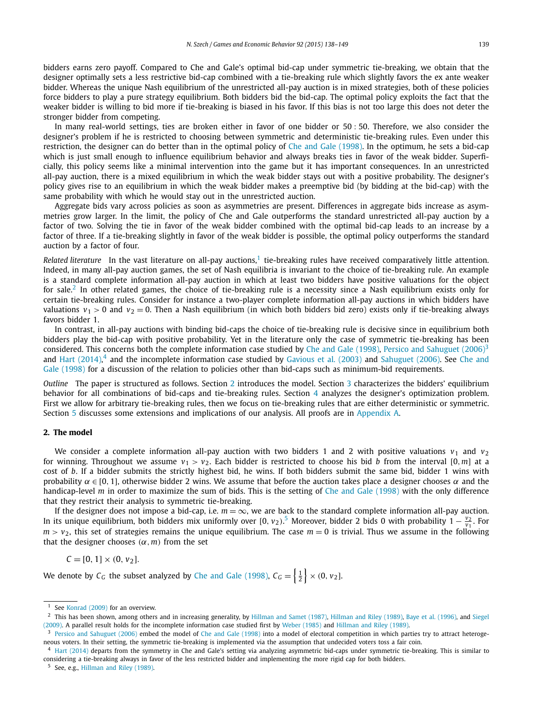bidders earns zero payoff. Compared to Che and Gale's optimal bid-cap under symmetric tie-breaking, we obtain that the designer optimally sets a less restrictive bid-cap combined with a tie-breaking rule which slightly favors the ex ante weaker bidder. Whereas the unique Nash equilibrium of the unrestricted all-pay auction is in mixed strategies, both of these policies force bidders to play a pure strategy equilibrium. Both bidders bid the bid-cap. The optimal policy exploits the fact that the weaker bidder is willing to bid more if tie-breaking is biased in his favor. If this bias is not too large this does not deter the stronger bidder from competing.

In many real-world settings, ties are broken either in favor of one bidder or 50 : 50. Therefore, we also consider the designer's problem if he is restricted to choosing between symmetric and deterministic tie-breaking rules. Even under this restriction, the designer can do better than in the optimal policy of Che and [Gale \(1998\).](#page-11-0) In the optimum, he sets a bid-cap which is just small enough to influence equilibrium behavior and always breaks ties in favor of the weak bidder. Superficially, this policy seems like a minimal intervention into the game but it has important consequences. In an unrestricted all-pay auction, there is a mixed equilibrium in which the weak bidder stays out with a positive probability. The designer's policy gives rise to an equilibrium in which the weak bidder makes a preemptive bid (by bidding at the bid-cap) with the same probability with which he would stay out in the unrestricted auction.

Aggregate bids vary across policies as soon as asymmetries are present. Differences in aggregate bids increase as asymmetries grow larger. In the limit, the policy of Che and Gale outperforms the standard unrestricted all-pay auction by a factor of two. Solving the tie in favor of the weak bidder combined with the optimal bid-cap leads to an increase by a factor of three. If a tie-breaking slightly in favor of the weak bidder is possible, the optimal policy outperforms the standard auction by a factor of four.

*Related literature* In the vast literature on all-pay auctions,<sup>1</sup> tie-breaking rules have received comparatively little attention. Indeed, in many all-pay auction games, the set of Nash equilibria is invariant to the choice of tie-breaking rule. An example is a standard complete information all-pay auction in which at least two bidders have positive valuations for the object for sale.<sup>2</sup> In other related games, the choice of tie-breaking rule is a necessity since a Nash equilibrium exists only for certain tie-breaking rules. Consider for instance a two-player complete information all-pay auctions in which bidders have valuations  $v_1 > 0$  and  $v_2 = 0$ . Then a Nash equilibrium (in which both bidders bid zero) exists only if tie-breaking always favors bidder 1.

In contrast, in all-pay auctions with binding bid-caps the choice of tie-breaking rule is decisive since in equilibrium both bidders play the bid-cap with positive probability. Yet in the literature only the case of symmetric tie-breaking has been considered. This concerns both the complete information case studied by Che and [Gale \(1998\),](#page-11-0) Persico and Sahuguet (2006)<sup>3</sup> and Hart  $(2014)^4$  and the incomplete information case studied by Gavious et al.  $(2003)$  and Sahuguet  $(2006)$ . See [Che](#page-11-0) and [Gale \(1998\)](#page-11-0) for a discussion of the relation to policies other than bid-caps such as minimum-bid requirements.

*Outline* The paper is structured as follows. Section 2 introduces the model. Section [3](#page-2-0) characterizes the bidders' equilibrium behavior for all combinations of bid-caps and tie-breaking rules. Section [4](#page-5-0) analyzes the designer's optimization problem. First we allow for arbitrary tie-breaking rules, then we focus on tie-breaking rules that are either deterministic or symmetric. Section [5](#page-6-0) discusses some extensions and implications of our analysis. All proofs are in [Appendix A.](#page-6-0)

# **2. The model**

We consider a complete information all-pay auction with two bidders 1 and 2 with positive valuations  $v_1$  and  $v_2$ for winning. Throughout we assume  $v_1 > v_2$ . Each bidder is restricted to choose his bid *b* from the interval [0, *m*] at a cost of *b*. If a bidder submits the strictly highest bid, he wins. If both bidders submit the same bid, bidder 1 wins with probability *α* ∈ [0*,* 1], otherwise bidder 2 wins. We assume that before the auction takes place a designer chooses *α* and the handicap-level *m* in order to maximize the sum of bids. This is the setting of Che and [Gale \(1998\)](#page-11-0) with the only difference that they restrict their analysis to symmetric tie-breaking.

If the designer does not impose a bid-cap, i.e.  $m = \infty$ , we are back to the standard complete information all-pay auction. In its unique equilibrium, both bidders mix uniformly over  $[0, v_2)$ .<sup>5</sup> Moreover, bidder 2 bids 0 with probability  $1-\frac{v_2}{v_1}$ . For  $m > v<sub>2</sub>$ , this set of strategies remains the unique equilibrium. The case  $m = 0$  is trivial. Thus we assume in the following that the designer chooses  $(\alpha, m)$  from the set

 $C = [0, 1] \times (0, v_2].$ 

We denote by  $C_G$  the subset analyzed by Che and [Gale \(1998\),](#page-11-0)  $C_G = \left\{ \frac{1}{2} \right\} \times (0, v_2]$ .

 $1$  See [Konrad \(2009\)](#page-11-0) for an overview.

<sup>&</sup>lt;sup>2</sup> This has been shown, among others and in increasing generality, by Hillman and [Samet \(1987\),](#page-11-0) Hillman and [Riley \(1989\),](#page-11-0) Baye et [al. \(1996\),](#page-11-0) and [Siegel](#page-11-0) [\(2009\).](#page-11-0) A parallel result holds for the incomplete information case studied first by [Weber \(1985\)](#page-11-0) and Hillman and [Riley \(1989\).](#page-11-0)

<sup>&</sup>lt;sup>3</sup> Persico and [Sahuguet \(2006\)](#page-11-0) embed the model of Che and [Gale \(1998\)](#page-11-0) into a model of electoral competition in which parties try to attract heterogeneous voters. In their setting, the symmetric tie-breaking is implemented via the assumption that undecided voters toss a fair coin.

<sup>4</sup> [Hart \(2014\)](#page-11-0) departs from the symmetry in Che and Gale's setting via analyzing asymmetric bid-caps under symmetric tie-breaking. This is similar to considering a tie-breaking always in favor of the less restricted bidder and implementing the more rigid cap for both bidders.

<sup>5</sup> See, e.g., Hillman and [Riley \(1989\).](#page-11-0)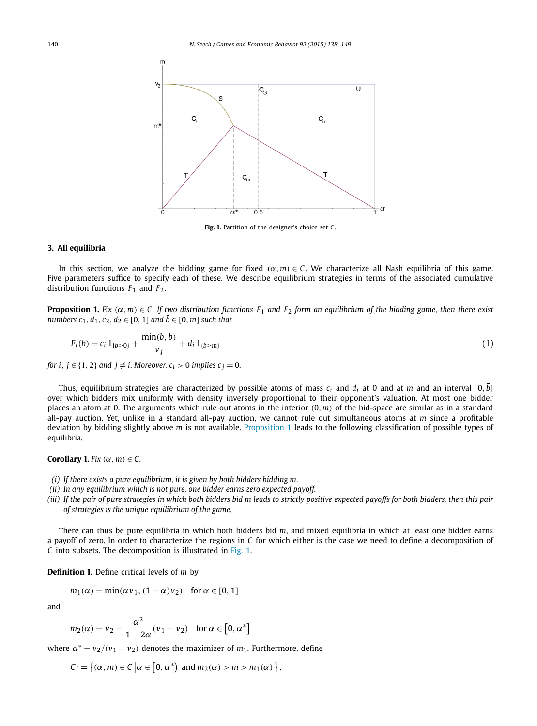<span id="page-2-0"></span>

**Fig. 1.** Partition of the designer's choice set *C*.

# **3. All equilibria**

In this section, we analyze the bidding game for fixed  $(\alpha, m) \in C$ . We characterize all Nash equilibria of this game. Five parameters suffice to specify each of these. We describe equilibrium strategies in terms of the associated cumulative distribution functions *F*<sup>1</sup> and *F*2.

**Proposition 1.** Fix  $(\alpha, m) \in C$ . If two distribution functions  $F_1$  and  $F_2$  form an equilibrium of the bidding game, then there exist *numbers*  $c_1$ ,  $d_1$ ,  $c_2$ ,  $d_2 \in [0, 1]$  *and*  $\overline{b} \in [0, m]$  *such that* 

$$
F_i(b) = c_i 1_{\{b \ge 0\}} + \frac{\min(b, b)}{v_j} + d_i 1_{\{b \ge m\}} \tag{1}
$$

*for i*,  $j \in \{1, 2\}$  *and*  $j \neq i$ *. Moreover,*  $c_i > 0$  *implies*  $c_j = 0$ *.* 

m

Thus, equilibrium strategies are characterized by possible atoms of mass  $c_i$  and  $d_i$  at 0 and at *m* and an interval [0,  $\bar{b}$ ] over which bidders mix uniformly with density inversely proportional to their opponent's valuation. At most one bidder places an atom at 0. The arguments which rule out atoms in the interior *(*0*,m)* of the bid-space are similar as in a standard all-pay auction. Yet, unlike in a standard all-pay auction, we cannot rule out simultaneous atoms at *m* since a profitable deviation by bidding slightly above *m* is not available. Proposition 1 leads to the following classification of possible types of equilibria.

**Corollary 1.** *Fix*  $(\alpha, m) \in C$ .

- *(i) If there exists a pure equilibrium, it is given by both bidders bidding m.*
- *(ii) In any equilibrium which is not pure, one bidder earns zero expected payoff.*
- (iii) If the pair of pure strategies in which both bidders bid m leads to strictly positive expected payoffs for both bidders, then this pair *of strategies is the unique equilibrium of the game.*

There can thus be pure equilibria in which both bidders bid *m*, and mixed equilibria in which at least one bidder earns a payoff of zero. In order to characterize the regions in *C* for which either is the case we need to define a decomposition of *C* into subsets. The decomposition is illustrated in Fig. 1.

**Definition 1.** Define critical levels of *m* by

$$
m_1(\alpha) = \min(\alpha v_1, (1 - \alpha)v_2) \quad \text{for } \alpha \in [0, 1]
$$

and

$$
m_2(\alpha) = v_2 - \frac{\alpha^2}{1 - 2\alpha}(v_1 - v_2) \quad \text{for } \alpha \in [0, \alpha^*]
$$

where  $\alpha^* = v_2/(v_1 + v_2)$  denotes the maximizer of  $m_1$ . Furthermore, define

 $C_I = \{ (\alpha, m) \in C \mid \alpha \in [0, \alpha^*) \text{ and } m_2(\alpha) > m > m_1(\alpha) \},$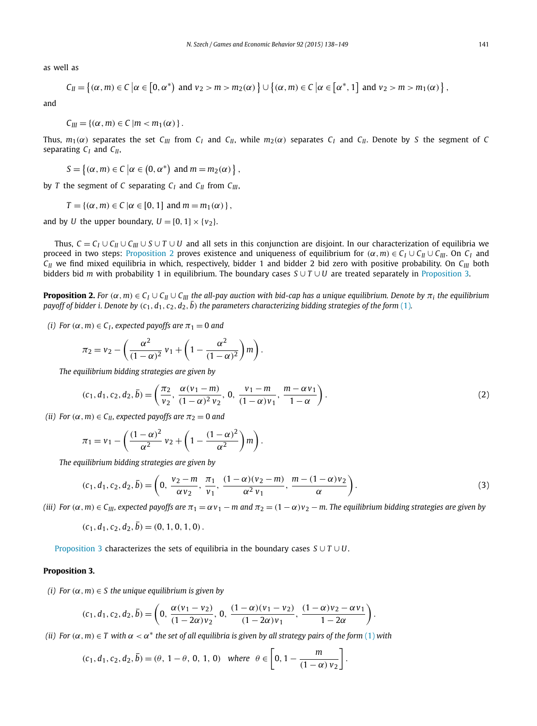<span id="page-3-0"></span>as well as

$$
C_{II} = \left\{ (\alpha, m) \in C \big| \alpha \in [0, \alpha^*) \text{ and } v_2 > m > m_2(\alpha) \right\} \cup \left\{ (\alpha, m) \in C \big| \alpha \in [\alpha^*, 1] \text{ and } v_2 > m > m_1(\alpha) \right\},\
$$

and

$$
C_{III} = \{(\alpha, m) \in C | m < m_1(\alpha)\}.
$$

Thus,  $m_1(\alpha)$  separates the set  $C_{III}$  from  $C_I$  and  $C_{II}$ , while  $m_2(\alpha)$  separates  $C_I$  and  $C_{II}$ . Denote by *S* the segment of *C* separating *CI* and *CII*,

$$
S = \left\{ (\alpha, m) \in C \big| \alpha \in (0, \alpha^*) \text{ and } m = m_2(\alpha) \right\},\
$$

by *T* the segment of *C* separating  $C_I$  and  $C_{II}$  from  $C_{III}$ ,

$$
T = \{ (\alpha, m) \in C \, | \alpha \in [0, 1] \text{ and } m = m_1(\alpha) \},
$$

and by *U* the upper boundary,  $U = [0, 1] \times \{v_2\}$ .

Thus,  $C = C_I \cup C_{II} \cup C_{III} \cup S \cup T \cup U$  and all sets in this conjunction are disjoint. In our characterization of equilibria we proceed in two steps: Proposition 2 proves existence and uniqueness of equilibrium for  $(\alpha, m) \in C_I \cup C_{II} \cup C_{III}$ . On  $C_I$  and *CII* we find mixed equilibria in which, respectively, bidder 1 and bidder 2 bid zero with positive probability. On *CIII* both bidders bid *m* with probability 1 in equilibrium. The boundary cases *S* ∪ *T* ∪ *U* are treated separately in Proposition 3.

**Proposition 2.** For  $(\alpha, m) \in C_l \cup C_{ll} \cup C_{ll}$  the all-pay auction with bid-cap has a unique equilibrium. Denote by  $\pi_i$  the equilibrium payoff of bidder i. Denote by  $(c_1, d_1, c_2, d_2, b)$  the parameters characterizing bidding strategies of the form [\(1\)](#page-2-0).

*(i)* For  $(\alpha, m) \in C_1$ , expected payoffs are  $\pi_1 = 0$  and

$$
\pi_2 = v_2 - \left(\frac{\alpha^2}{(1-\alpha)^2}v_1 + \left(1 - \frac{\alpha^2}{(1-\alpha)^2}\right)m\right).
$$

*The equilibrium bidding strategies are given by*

$$
(c_1, d_1, c_2, d_2, \overline{b}) = \left(\frac{\pi_2}{\nu_2}, \frac{\alpha(\nu_1 - m)}{(1 - \alpha)^2 \nu_2}, 0, \frac{\nu_1 - m}{(1 - \alpha)\nu_1}, \frac{m - \alpha \nu_1}{1 - \alpha}\right).
$$
\n(2)

*(ii)* For  $(\alpha, m) \in C_{II}$ , expected payoffs are  $\pi_2 = 0$  and

$$
\pi_1 = v_1 - \left(\frac{(1-\alpha)^2}{\alpha^2}v_2 + \left(1 - \frac{(1-\alpha)^2}{\alpha^2}\right)m\right).
$$

*The equilibrium bidding strategies are given by*

$$
(c_1, d_1, c_2, d_2, \overline{b}) = \left(0, \frac{\nu_2 - m}{\alpha \nu_2}, \frac{\pi_1}{\nu_1}, \frac{(1 - \alpha)(\nu_2 - m)}{\alpha^2 \nu_1}, \frac{m - (1 - \alpha)\nu_2}{\alpha}\right).
$$
\n(3)

(iii) For  $(\alpha, m) \in C_{III}$ , expected payoffs are  $\pi_1 = \alpha v_1 - m$  and  $\pi_2 = (1 - \alpha)v_2 - m$ . The equilibrium bidding strategies are given by

$$
(c_1, d_1, c_2, d_2, \overline{b}) = (0, 1, 0, 1, 0).
$$

Proposition 3 characterizes the sets of equilibria in the boundary cases *S* ∪ *T* ∪ *U*.

# **Proposition 3.**

*(i)* For  $(\alpha, m) \in S$  *the unique equilibrium is given by* 

$$
(c_1, d_1, c_2, d_2, \bar{b}) = \left(0, \frac{\alpha(\nu_1 - \nu_2)}{(1 - 2\alpha)\nu_2}, 0, \frac{(1 - \alpha)(\nu_1 - \nu_2)}{(1 - 2\alpha)\nu_1}, \frac{(1 - \alpha)\nu_2 - \alpha\nu_1}{1 - 2\alpha}\right).
$$

(ii) For  $(\alpha, m) \in T$  with  $\alpha < \alpha^*$  the set of all equilibria is given by all strategy pairs of the form [\(1\)](#page-2-0) with

$$
(c_1, d_1, c_2, d_2, \bar{b}) = (\theta, 1 - \theta, 0, 1, 0)
$$
 where  $\theta \in \left[0, 1 - \frac{m}{(1 - \alpha)v_2}\right]$ .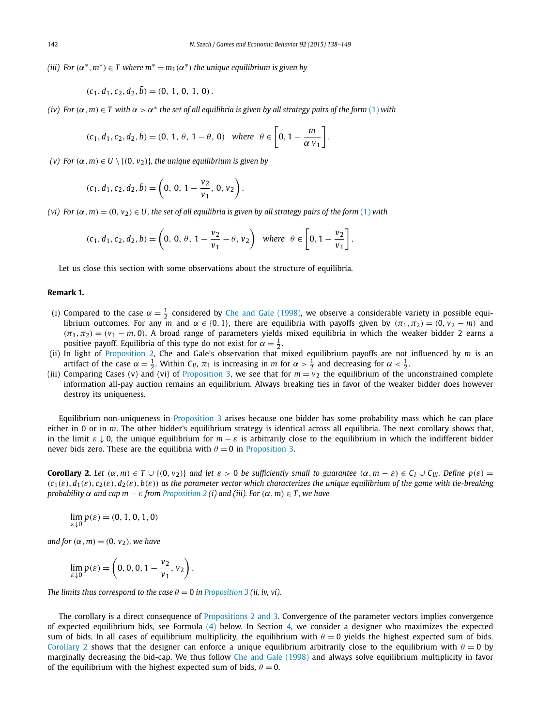*(iii) For*  $(\alpha^*, m^*) \in T$  *where*  $m^* = m_1(\alpha^*)$  *the unique equilibrium is given by* 

$$
(c_1, d_1, c_2, d_2, b) = (0, 1, 0, 1, 0).
$$

(iv) For  $(\alpha, m) \in T$  with  $\alpha > \alpha^*$  the set of all equilibria is given by all strategy pairs of the form [\(1\)](#page-2-0) with

$$
(c_1, d_1, c_2, d_2, \bar{b}) = (0, 1, \theta, 1 - \theta, 0)
$$
 where  $\theta \in [0, 1 - \frac{m}{\alpha v_1}].$ 

*(v)* For  $(α, m) ∈ U \setminus {(0, v_2)}$ *, the unique equilibrium is given by* 

$$
(c_1, d_1, c_2, d_2, \overline{b}) = \left(0, 0, 1 - \frac{v_2}{v_1}, 0, v_2\right).
$$

(vi) For  $(\alpha, m) = (0, v_2) \in U$ , the set of all equilibria is given by all strategy pairs of the form [\(1\)](#page-2-0) with

$$
(c_1, d_1, c_2, d_2, \bar{b}) = \left(0, 0, \theta, 1 - \frac{v_2}{v_1} - \theta, v_2\right) \text{ where } \theta \in \left[0, 1 - \frac{v_2}{v_1}\right].
$$

Let us close this section with some observations about the structure of equilibria.

## **Remark 1.**

- (i) Compared to the case  $\alpha = \frac{1}{2}$  considered by Che and [Gale \(1998\),](#page-11-0) we observe a considerable variety in possible equilibrium outcomes. For any *m* and  $\alpha \in \{0, 1\}$ , there are equilibria with payoffs given by  $(\pi_1, \pi_2) = (0, v_2 - m)$  and  $(\pi_1, \pi_2) = (v_1 - m, 0)$ . A broad range of parameters yields mixed equilibria in which the weaker bidder 2 earns a positive payoff. Equilibria of this type do not exist for  $\alpha = \frac{1}{2}$ .
- (ii) In light of [Proposition 2,](#page-3-0) Che and Gale's observation that mixed equilibrium payoffs are not influenced by *m* is an artifact of the case  $\alpha = \frac{1}{2}$ . Within  $C_{II}$ ,  $\pi_1$  is increasing in *m* for  $\alpha > \frac{1}{2}$  and decreasing for  $\alpha < \frac{1}{2}$ .
- (iii) Comparing Cases (v) and (vi) of [Proposition 3,](#page-3-0) we see that for  $m = v_2$  the equilibrium of the unconstrained complete information all-pay auction remains an equilibrium. Always breaking ties in favor of the weaker bidder does however destroy its uniqueness.

Equilibrium non-uniqueness in [Proposition 3](#page-3-0) arises because one bidder has some probability mass which he can place either in 0 or in *m*. The other bidder's equilibrium strategy is identical across all equilibria. The next corollary shows that, in the limit  $\varepsilon \downarrow 0$ , the unique equilibrium for  $m - \varepsilon$  is arbitrarily close to the equilibrium in which the indifferent bidder never bids zero. These are the equilibria with  $\theta = 0$  in [Proposition 3.](#page-3-0)

**Corollary 2.** Let  $(\alpha, m) \in T \cup \{(0, v_2)\}\$ and let  $\varepsilon > 0$  be sufficiently small to guarantee  $(\alpha, m - \varepsilon) \in C_I \cup C_{III}$ . Define  $p(\varepsilon) =$  $(c_1(\varepsilon), d_1(\varepsilon), c_2(\varepsilon), d_2(\varepsilon), b(\varepsilon))$  as the parameter vector which characterizes the unique equilibrium of the game with tie-breaking *probability*  $\alpha$  *and*  $cap m - \varepsilon$  *from [Proposition 2](#page-3-0) (i) and (iii). For*  $(\alpha, m) \in T$ *, we have* 

 $\lim_{\varepsilon \downarrow 0} p(\varepsilon) = (0, 1, 0, 1, 0)$ 

*and for*  $(\alpha, m) = (0, v_2)$ *, we have* 

$$
\lim_{\varepsilon \downarrow 0} p(\varepsilon) = \left(0, 0, 0, 1 - \frac{v_2}{v_1}, v_2\right).
$$

*The limits thus correspond to the case*  $\theta = 0$  *in [Proposition 3](#page-3-0) (ii, iv, vi).* 

The corollary is a direct consequence of [Propositions 2 and](#page-3-0) 3. Convergence of the parameter vectors implies convergence of expected equilibrium bids, see Formula [\(4\)](#page-5-0) below. In Section [4,](#page-5-0) we consider a designer who maximizes the expected sum of bids. In all cases of equilibrium multiplicity, the equilibrium with  $\theta = 0$  yields the highest expected sum of bids. Corollary 2 shows that the designer can enforce a unique equilibrium arbitrarily close to the equilibrium with  $\theta = 0$  by marginally decreasing the bid-cap. We thus follow Che and [Gale \(1998\)](#page-11-0) and always solve equilibrium multiplicity in favor of the equilibrium with the highest expected sum of bids,  $\theta = 0$ .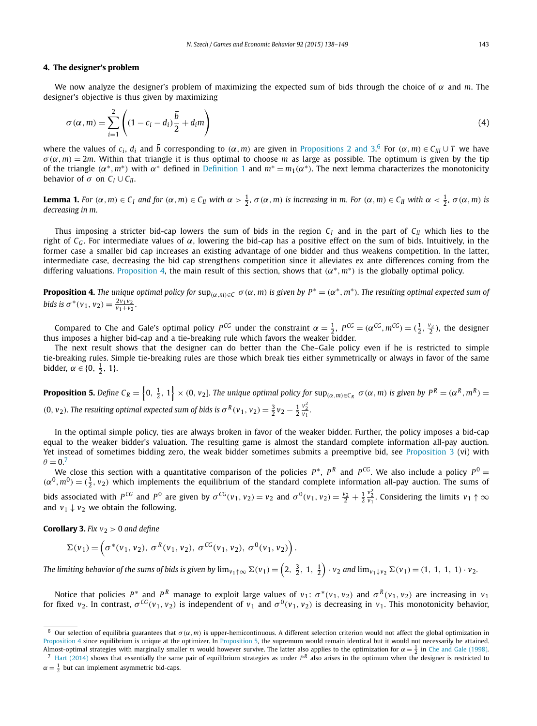# <span id="page-5-0"></span>**4. The designer's problem**

We now analyze the designer's problem of maximizing the expected sum of bids through the choice of *α* and *m*. The designer's objective is thus given by maximizing

$$
\sigma(\alpha, m) = \sum_{i=1}^{2} \left( (1 - c_i - d_i) \frac{\overline{b}}{2} + d_i m \right)
$$
\n(4)

where the values of  $c_i$ ,  $d_i$  and  $\bar{b}$  corresponding to  $(\alpha, m)$  are given in [Propositions 2 and](#page-3-0) 3.<sup>[6](#page-3-0)</sup> For  $(\alpha, m) \in C_{III} \cup T$  we have  $\sigma(\alpha, m) = 2m$ . Within that triangle it is thus optimal to choose *m* as large as possible. The optimum is given by the tip of the triangle  $(\alpha^*, m^*)$  with  $\alpha^*$  defined in [Definition 1](#page-2-0) and  $m^* = m_1(\alpha^*)$ . The next lemma characterizes the monotonicity behavior of  $\sigma$  on  $C_I \cup C_{II}$ .

**Lemma 1.** For  $(\alpha, m) \in C_l$  and for  $(\alpha, m) \in C_l$  with  $\alpha > \frac{1}{2}$ ,  $\sigma(\alpha, m)$  is increasing in m. For  $(\alpha, m) \in C_l$  with  $\alpha < \frac{1}{2}$ ,  $\sigma(\alpha, m)$  is *decreasing in m.*

Thus imposing a stricter bid-cap lowers the sum of bids in the region  $C_I$  and in the part of  $C_{II}$  which lies to the right of *CG* . For intermediate values of *α*, lowering the bid-cap has a positive effect on the sum of bids. Intuitively, in the former case a smaller bid cap increases an existing advantage of one bidder and thus weakens competition. In the latter, intermediate case, decreasing the bid cap strengthens competition since it alleviates ex ante differences coming from the differing valuations. Proposition 4, the main result of this section, shows that *(α*<sup>∗</sup>*,m*∗*)* is the globally optimal policy.

**Proposition 4.** The unique optimal policy for  $\sup_{(\alpha,m)\in\mathbb{C}} \sigma(\alpha,m)$  is given by  $P^*=(\alpha^*,m^*)$ . The resulting optimal expected sum of *bids is*  $\sigma^*(v_1, v_2) = \frac{2v_1v_2}{v_1+v_2}$ .

Compared to Che and Gale's optimal policy  $P^{CG}$  under the constraint  $\alpha = \frac{1}{2}$ ,  $P^{CG} = (\alpha^{CG}, m^{CG}) = (\frac{1}{2}, \frac{v_2}{2})$ , the designer thus imposes a higher bid-cap and a tie-breaking rule which favors the weaker bidder.

The next result shows that the designer can do better than the Che–Gale policy even if he is restricted to simple tie-breaking rules. Simple tie-breaking rules are those which break ties either symmetrically or always in favor of the same bidder,  $\alpha \in \{0, \frac{1}{2}, 1\}.$ 

**Proposition 5.** Define  $C_R = \left\{0, \frac{1}{2}, 1\right\} \times (0, v_2]$ . The unique optimal policy for  $\sup_{(\alpha,m)\in C_R} \sigma(\alpha,m)$  is given by  $P^R = (\alpha^R, m^R) =$ (0,  $v_2$ ). The resulting optimal expected sum of bids is  $\sigma^R(v_1, v_2) = \frac{3}{2}v_2 - \frac{1}{2}v_1$  $\frac{v_2^2}{v_1}$ .

In the optimal simple policy, ties are always broken in favor of the weaker bidder. Further, the policy imposes a bid-cap equal to the weaker bidder's valuation. The resulting game is almost the standard complete information all-pay auction. Yet instead of sometimes bidding zero, the weak bidder sometimes submits a preemptive bid, see [Proposition 3](#page-3-0) (vi) with  $\theta = 0.7$ 

We close this section with a quantitative comparison of the policies  $P^*$ ,  $P^R$  and  $P^{CG}$ . We also include a policy  $P^0$  =  $(\alpha^0, m^0) = (\frac{1}{2}, v_2)$  which implements the equilibrium of the standard complete information all-pay auction. The sums of bids associated with  $P^{CG}$  and  $P^0$  are given by  $\sigma^{CG}(v_1, v_2) = v_2$  and  $\sigma^0(v_1, v_2) = \frac{v_2}{2} + \frac{1}{2}$  $\frac{v_2^2}{v_1}$ . Considering the limits  $v_1 \uparrow \infty$ and  $v_1 \downarrow v_2$  we obtain the following.

**Corollary 3.** *Fix*  $v_2 > 0$  *and define* 

$$
\Sigma(\nu_1) = \left(\sigma^*(\nu_1, \nu_2), \ \sigma^R(\nu_1, \nu_2), \ \sigma^{CG}(\nu_1, \nu_2), \ \sigma^0(\nu_1, \nu_2)\right).
$$

The limiting behavior of the sums of bids is given by  $\lim_{v_1\uparrow\infty}\Sigma(v_1)=\left(2,\,\frac{3}{2},\,1,\,\frac{1}{2}\right)\cdot v_2$  and  $\lim_{v_1\downarrow v_2}\Sigma(v_1)=(1,\,1,\,1,\,1)\cdot v_2.$ 

Notice that policies  $P^*$  and  $P^R$  manage to exploit large values of  $v_1$ :  $\sigma^*(v_1, v_2)$  and  $\sigma^R(v_1, v_2)$  are increasing in  $v_1$ for fixed  $v_2$ . In contrast,  $\sigma^{CG}(v_1, v_2)$  is independent of  $v_1$  and  $\sigma^0(v_1, v_2)$  is decreasing in  $v_1$ . This monotonicity behavior,

<sup>&</sup>lt;sup>6</sup> Our selection of equilibria guarantees that  $\sigma(\alpha, m)$  is upper-hemicontinuous. A different selection criterion would not affect the global optimization in Proposition 4 since equilibrium is unique at the optimizer. In Proposition 5, the supremum would remain identical but it would not necessarily be attained. Almost-optimal strategies with marginally smaller *m* would however survive. The latter also applies to the optimization for  $\alpha = \frac{1}{2}$  in Che and [Gale \(1998\).](#page-11-0)<br><sup>7</sup> [Hart \(2014\)](#page-11-0) shows that essentially the same pair of equ

 $\alpha = \frac{1}{2}$  but can implement asymmetric bid-caps.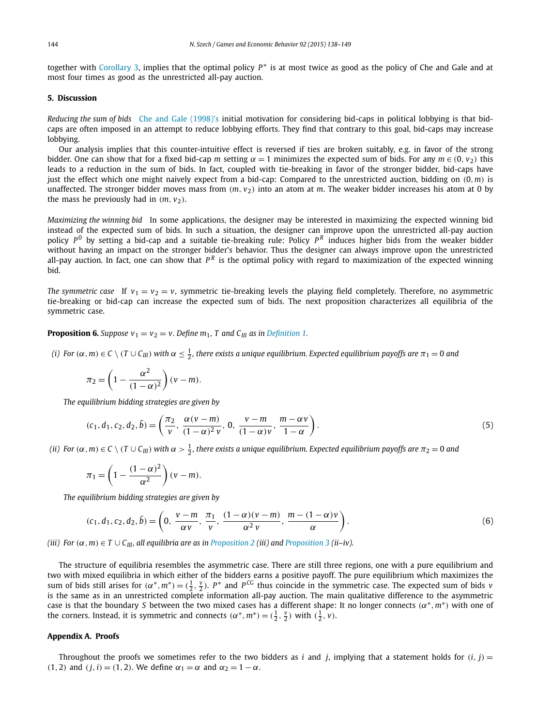<span id="page-6-0"></span>together with [Corollary 3,](#page-5-0) implies that the optimal policy *P*<sup>∗</sup> is at most twice as good as the policy of Che and Gale and at most four times as good as the unrestricted all-pay auction.

# **5. Discussion**

*Reducing the sum of bids* Che and Gale [\(1998\)'s](#page-11-0) initial motivation for considering bid-caps in political lobbying is that bidcaps are often imposed in an attempt to reduce lobbying efforts. They find that contrary to this goal, bid-caps may increase lobbying.

Our analysis implies that this counter-intuitive effect is reversed if ties are broken suitably, e.g. in favor of the strong bidder. One can show that for a fixed bid-cap *m* setting  $\alpha = 1$  minimizes the expected sum of bids. For any  $m \in (0, v_2)$  this leads to a reduction in the sum of bids. In fact, coupled with tie-breaking in favor of the stronger bidder, bid-caps have just the effect which one might naively expect from a bid-cap: Compared to the unrestricted auction, bidding on *(*0*,m)* is unaffected. The stronger bidder moves mass from  $(m, v_2)$  into an atom at *m*. The weaker bidder increases his atom at 0 by the mass he previously had in  $(m, v_2)$ .

*Maximizing the winning bid* In some applications, the designer may be interested in maximizing the expected winning bid instead of the expected sum of bids. In such a situation, the designer can improve upon the unrestricted all-pay auction policy *P*<sup>0</sup> by setting a bid-cap and a suitable tie-breaking rule: Policy *P*<sup>R</sup> induces higher bids from the weaker bidder without having an impact on the stronger bidder's behavior. Thus the designer can always improve upon the unrestricted all-pay auction. In fact, one can show that  $P^R$  is the optimal policy with regard to maximization of the expected winning bid.

*The* symmetric case If  $v_1 = v_2 = v$ , symmetric tie-breaking levels the playing field completely. Therefore, no asymmetric tie-breaking or bid-cap can increase the expected sum of bids. The next proposition characterizes all equilibria of the symmetric case.

**Proposition 6.** Suppose  $v_1 = v_2 = v$ . Define  $m_1$ , T and  $C_{III}$  as in [Definition 1.](#page-2-0)

(i) For  $(\alpha,m)\in C\setminus(T\cup C_{III})$  with  $\alpha\leq\frac{1}{2}$ , there exists a unique equilibrium. Expected equilibrium payoffs are  $\pi_1=0$  and

$$
\pi_2 = \left(1 - \frac{\alpha^2}{(1-\alpha)^2}\right)(v-m).
$$

*The equilibrium bidding strategies are given by*

$$
(c_1, d_1, c_2, d_2, \bar{b}) = \left(\frac{\pi_2}{v}, \frac{\alpha(v-m)}{(1-\alpha)^2 v}, 0, \frac{v-m}{(1-\alpha)v}, \frac{m-\alpha v}{1-\alpha}\right).
$$
\n(5)

(ii) For  $(\alpha,m)\in C\setminus (T\cup C_{III})$  with  $\alpha>\frac12$ , there exists a unique equilibrium. Expected equilibrium payoffs are  $\pi_2=0$  and

$$
\pi_1 = \left(1 - \frac{(1 - \alpha)^2}{\alpha^2}\right)(v - m).
$$

*The equilibrium bidding strategies are given by*

$$
(c_1, d_1, c_2, d_2, \overline{b}) = \left(0, \frac{\nu - m}{\alpha \nu}, \frac{\pi_1}{\nu}, \frac{(1 - \alpha)(\nu - m)}{\alpha^2 \nu}, \frac{m - (1 - \alpha)\nu}{\alpha}\right).
$$
 (6)

*(iii)* For  $(\alpha, m) \in T \cup C_{III}$ , all equilibria are as in [Proposition 2](#page-3-0) *(iii)* and [Proposition 3](#page-3-0) *(ii–iv)*.

The structure of equilibria resembles the asymmetric case. There are still three regions, one with a pure equilibrium and two with mixed equilibria in which either of the bidders earns a positive payoff. The pure equilibrium which maximizes the<br>sum of bids still arises for ( $\alpha^*, m^*$ ) = ( $\frac{1}{2}, \frac{y}{2}$ ).  $P^*$  and  $P^{CG}$  thus coincide in t is the same as in an unrestricted complete information all-pay auction. The main qualitative difference to the asymmetric case is that the boundary *S* between the two mixed cases has a different shape: It no longer connects *(α*<sup>∗</sup>*,m*∗*)* with one of the corners. Instead, it is symmetric and connects  $(\alpha^*, m^*) = (\frac{1}{2}, \frac{v}{2})$  with  $(\frac{1}{2}, v)$ .

# **Appendix A. Proofs**

Throughout the proofs we sometimes refer to the two bidders as *i* and *j*, implying that a statement holds for  $(i, j)$  = *(***1***,* 2*)* and *(j, i*) = (1*,* 2*)*. We define  $\alpha_1 = \alpha$  and  $\alpha_2 = 1 - \alpha$ .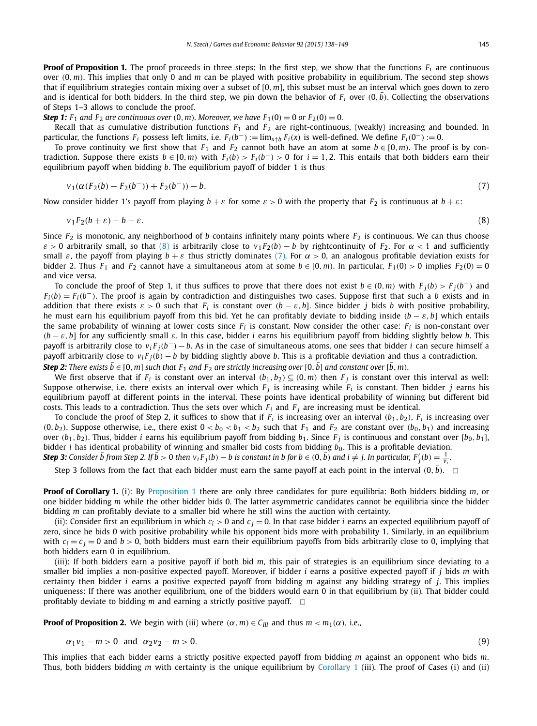<span id="page-7-0"></span>**Proof of Proposition 1.** The proof proceeds in three steps: In the first step, we show that the functions *Fi* are continuous over *(*0*,m)*. This implies that only 0 and *m* can be played with positive probability in equilibrium. The second step shows that if equilibrium strategies contain mixing over a subset of [0*,m*], this subset must be an interval which goes down to zero and is identical for both bidders. In the third step, we pin down the behavior of  $F_i$  over  $(0, b)$ . Collecting the observations of Steps 1–3 allows to conclude the proof.

**Step 1:**  $F_1$  and  $F_2$  are continuous over  $(0, m)$ . Moreover, we have  $F_1(0) = 0$  or  $F_2(0) = 0$ .

Recall that as cumulative distribution functions *F*<sup>1</sup> and *F*<sup>2</sup> are right-continuous, (weakly) increasing and bounded. In particular, the functions  $F_i$  possess left limits, i.e.  $F_i(b^-) := \lim_{x \uparrow b} F_i(x)$  is well-defined. We define  $F_i(0^-) := 0$ .

To prove continuity we first show that  $F_1$  and  $F_2$  cannot both have an atom at some  $b \in [0, m)$ . The proof is by contradiction. Suppose there exists  $b \in [0, m)$  with  $F_i(b) > F_i(b^-) > 0$  for  $i = 1, 2$ . This entails that both bidders earn their equilibrium payoff when bidding *b*. The equilibrium payoff of bidder 1 is thus

$$
v_1(\alpha(F_2(b) - F_2(b^-)) + F_2(b^-)) - b. \tag{7}
$$

Now consider bidder 1's payoff from playing  $b + \varepsilon$  for some  $\varepsilon > 0$  with the property that  $F_2$  is continuous at  $b + \varepsilon$ :

$$
v_1 F_2(b+\varepsilon) - b - \varepsilon. \tag{8}
$$

Since *F*<sub>2</sub> is monotonic, any neighborhood of *b* contains infinitely many points where *F*<sub>2</sub> is continuous. We can thus choose  $\varepsilon$  > 0 arbitrarily small, so that (8) is arbitrarily close to  $v_1 F_2(b) - b$  by rightcontinuity of  $F_2$ . For  $\alpha < 1$  and sufficiently small  $\varepsilon$ , the payoff from playing  $b + \varepsilon$  thus strictly dominates (7). For  $\alpha > 0$ , an analogous profitable deviation exists for bidder 2. Thus  $F_1$  and  $F_2$  cannot have a simultaneous atom at some  $b \in [0, m)$ . In particular,  $F_1(0) > 0$  implies  $F_2(0) = 0$ and vice versa.

To conclude the proof of Step 1, it thus suffices to prove that there does not exist  $b \in (0, m)$  with  $F_i(b) > F_i(b^-)$  and  $F_i(b) = F_i(b^-)$ . The proof is again by contradiction and distinguishes two cases. Suppose first that such a *b* exists and in addition that there exists  $\varepsilon > 0$  such that  $F_i$  is constant over  $(b - \varepsilon, b]$ . Since bidder *j* bids *b* with positive probability, he must earn his equilibrium payoff from this bid. Yet he can profitably deviate to bidding inside *(b* − *ε, b*] which entails the same probability of winning at lower costs since  $F_i$  is constant. Now consider the other case:  $F_i$  is non-constant over  $(b - \varepsilon, b]$  for any sufficiently small  $\varepsilon$ . In this case, bidder *i* earns his equilibrium payoff from bidding slightly below *b*. This payoff is arbitrarily close to  $v_i F_i(b^-) - b$ . As in the case of simultaneous atoms, one sees that bidder *i* can secure himself a payoff arbitrarily close to  $v_i F_j(b) - b$  by bidding slightly above *b*. This is a profitable deviation and thus a contradiction.

**Step 2:** There exists  $\bar{b} \in [0, m]$  such that  $F_1$  and  $F_2$  are strictly increasing over  $[0, \bar{b}]$  and constant over  $[\bar{b}, m)$ .

We first observe that if  $F_i$  is constant over an interval  $(b_1, b_2) \subseteq (0, m)$  then  $F_j$  is constant over this interval as well: Suppose otherwise, i.e. there exists an interval over which  $F_i$  is increasing while  $F_i$  is constant. Then bidder *j* earns his equilibrium payoff at different points in the interval. These points have identical probability of winning but different bid costs. This leads to a contradiction. Thus the sets over which  $F_i$  and  $F_j$  are increasing must be identical.

To conclude the proof of Step 2, it suffices to show that if  $F_i$  is increasing over an interval  $(b_1, b_2)$ ,  $F_i$  is increasing over  $(0, b_2)$ . Suppose otherwise, i.e., there exist  $0 < b_0 < b_1 < b_2$  such that  $F_1$  and  $F_2$  are constant over  $(b_0, b_1)$  and increasing over  $(b_1, b_2)$ . Thus, bidder *i* earns his equilibrium payoff from bidding  $b_1$ . Since  $F_j$  is continuous and constant over  $[b_0, b_1]$ , bidder *i* has identical probability of winning and smaller bid costs from bidding  $b_0$ . This is a profitable deviation.

**Step 3:** Consider  $\bar{b}$  from Step 2. If  $\bar{b} > 0$  then  $v_i F_j(b) - b$  is constant in  $b$  for  $b \in (0, \bar{b})$  and  $i \neq j$ . In particular,  $F'_j(b) = \frac{1}{v_i}$ .

Step 3 follows from the fact that each bidder must earn the same payoff at each point in the interval  $(0, \bar{b})$ .  $\Box$ 

**Proof of Corollary 1.** (i): By [Proposition 1](#page-2-0) there are only three candidates for pure equilibria: Both bidders bidding *m*, or one bidder bidding *m* while the other bidder bids 0. The latter asymmetric candidates cannot be equilibria since the bidder bidding *m* can profitably deviate to a smaller bid where he still wins the auction with certainty.

(ii): Consider first an equilibrium in which  $c_i > 0$  and  $c_j = 0$ . In that case bidder *i* earns an expected equilibrium payoff of zero, since he bids 0 with positive probability while his opponent bids more with probability 1. Similarly, in an equilibrium with  $c_i = c_j = 0$  and  $\bar{b} > 0$ , both bidders must earn their equilibrium payoffs from bids arbitrarily close to 0, implying that both bidders earn 0 in equilibrium.

(iii): If both bidders earn a positive payoff if both bid *m*, this pair of strategies is an equilibrium since deviating to a smaller bid implies a non-positive expected payoff. Moreover, if bidder *i* earns a positive expected payoff if *j* bids *m* with certainty then bidder *i* earns a positive expected payoff from bidding *m* against any bidding strategy of *j*. This implies uniqueness: If there was another equilibrium, one of the bidders would earn 0 in that equilibrium by (ii). That bidder could profitably deviate to bidding  $m$  and earning a strictly positive payoff.  $\square$ 

**Proof of Proposition 2.** We begin with (iii) where  $(\alpha, m) \in C_{III}$  and thus  $m < m_1(\alpha)$ , i.e.,

$$
\alpha_1 v_1 - m > 0 \quad \text{and} \quad \alpha_2 v_2 - m > 0. \tag{9}
$$

This implies that each bidder earns a strictly positive expected payoff from bidding *m* against an opponent who bids *m*. Thus, both bidders bidding *m* with certainty is the unique equilibrium by [Corollary 1](#page-2-0) (iii). The proof of Cases (i) and (ii)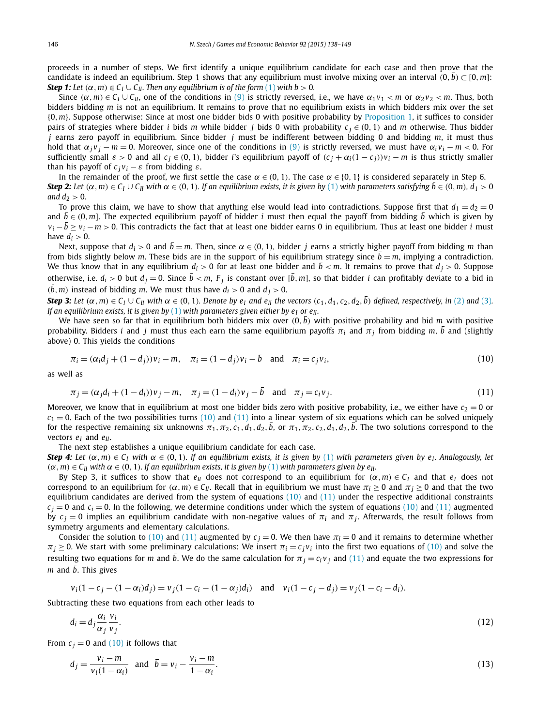<span id="page-8-0"></span>proceeds in a number of steps. We first identify a unique equilibrium candidate for each case and then prove that the candidate is indeed an equilibrium. Step 1 shows that any equilibrium must involve mixing over an interval  $(0, b) \subset [0, m]$ : *Step 1: Let*  $(\alpha, m) \in C_I \cup C_{II}$ *. Then any equilibrium is of the form [\(1\)](#page-2-0) with*  $\overline{b} > 0$ *.* 

Since  $(α, m) \in C_I \cup C_{II}$ , one of the conditions in [\(9\)](#page-7-0) is strictly reversed, i.e., we have  $α_1v_1 < m$  or  $α_2v_2 < m$ . Thus, both bidders bidding *m* is not an equilibrium. It remains to prove that no equilibrium exists in which bidders mix over the set {0*,m*}. Suppose otherwise: Since at most one bidder bids 0 with positive probability by [Proposition 1,](#page-2-0) it suffices to consider pairs of strategies where bidder *i* bids *m* while bidder *j* bids 0 with probability  $c_i \in (0,1)$  and *m* otherwise. Thus bidder *j* earns zero payoff in equilibrium. Since bidder *j* must be indifferent between bidding 0 and bidding *m*, it must thus hold that  $\alpha_i v_i - m = 0$ . Moreover, since one of the conditions in [\(9\)](#page-7-0) is strictly reversed, we must have  $\alpha_i v_i - m < 0$ . For sufficiently small  $\varepsilon > 0$  and all  $c_i \in (0, 1)$ , bidder i's equilibrium payoff of  $(c_i + \alpha_i(1 - c_i))v_i - m$  is thus strictly smaller than his payoff of  $c_j v_j - \varepsilon$  from bidding  $\varepsilon$ .

In the remainder of the proof, we first settle the case  $\alpha \in (0, 1)$ . The case  $\alpha \in \{0, 1\}$  is considered separately in Step 6. **Step 2:** Let  $(\alpha, m) \in C_1 \cup C_{II}$  with  $\alpha \in (0, 1)$ . If an equilibrium exists, it is given by [\(1\)](#page-2-0) with parameters satisfying  $b \in (0, m)$ ,  $d_1 > 0$ *and*  $d_2 > 0$ *.* 

To prove this claim, we have to show that anything else would lead into contradictions. Suppose first that  $d_1 = d_2 = 0$ and  $\bar{b} \in (0, m]$ . The expected equilibrium payoff of bidder *i* must then equal the payoff from bidding  $\bar{b}$  which is given by  $v_i - b \ge v_i - m > 0$ . This contradicts the fact that at least one bidder earns 0 in equilibrium. Thus at least one bidder *i* must have  $d_i > 0$ .

Next, suppose that  $d_i > 0$  and  $\bar{b} = m$ . Then, since  $\alpha \in (0, 1)$ , bidder *j* earns a strictly higher payoff from bidding *m* than from bids slightly below *m*. These bids are in the support of his equilibrium strategy since  $\bar{b} = m$ , implying a contradiction. We thus know that in any equilibrium  $d_i > 0$  for at least one bidder and  $\bar{b} < m$ . It remains to prove that  $d_i > 0$ . Suppose otherwise, i.e.  $d_i > 0$  but  $d_j = 0$ . Since  $\bar{b} < m$ ,  $F_j$  is constant over  $[\bar{b}, m]$ , so that bidder *i* can profitably deviate to a bid in  $(b, m)$  instead of bidding *m*. We must thus have  $d_i > 0$  and  $d_i > 0$ .

**Step 3:** Let  $(\alpha, m) \in C_1 \cup C_{ll}$  with  $\alpha \in (0, 1)$ . Denote by  $e_l$  and  $e_{ll}$  the vectors  $(c_1, d_1, c_2, d_2, b)$  defined, respectively, in [\(2\)](#page-3-0) and [\(3\)](#page-3-0). *If* an equilibrium exists, it is given by [\(1\)](#page-2-0) with parameters given either by  $e_I$  or  $e_{II}$ .

We have seen so far that in equilibrium both bidders mix over  $(0, b)$  with positive probability and bid *m* with positive probability. Bidders *i* and *j* must thus each earn the same equilibrium payoffs  $\pi_i$  and  $\pi_j$  from bidding  $m$ ,  $\bar{b}$  and (slightly above) 0. This yields the conditions

$$
\pi_i = (\alpha_i d_j + (1 - d_j)) v_i - m, \quad \pi_i = (1 - d_j) v_i - \bar{b} \quad \text{and} \quad \pi_i = c_j v_i,
$$
\n(10)

as well as

$$
\pi_j = (\alpha_j d_i + (1 - d_i))v_j - m, \quad \pi_j = (1 - d_i)v_j - \bar{b} \quad \text{and} \quad \pi_j = c_i v_j. \tag{11}
$$

Moreover, we know that in equilibrium at most one bidder bids zero with positive probability, i.e., we either have  $c_2 = 0$  or  $c_1 = 0$ . Each of the two possibilities turns (10) and (11) into a linear system of six equations which can be solved uniquely for the respective remaining six unknowns  $\pi_1, \pi_2, c_1, d_1, d_2, \bar{b}$ , or  $\pi_1, \pi_2, c_2, d_1, d_2, \bar{b}$ . The two solutions correspond to the vectors  $e_I$  and  $e_{II}$ .

The next step establishes a unique equilibrium candidate for each case.

**Step 4:** Let  $(\alpha, m) \in C_I$  with  $\alpha \in (0, 1)$ . If an equilibrium exists, it is given by [\(1\)](#page-2-0) with parameters given by  $e_I$ . Analogously, let  $(\alpha, m) \in C_{II}$  with  $\alpha \in (0, 1)$ . If an equilibrium exists, it is given by [\(1\)](#page-2-0) with parameters given by  $e_{II}$ .

By Step 3, it suffices to show that  $e_{II}$  does not correspond to an equilibrium for  $(\alpha, m) \in C_I$  and that  $e_I$  does not correspond to an equilibrium for  $(α, m) ∈ C<sub>II</sub>$ . Recall that in equilibrium we must have  $π<sub>i</sub> ≥ 0$  and  $π<sub>i</sub> ≥ 0$  and that the two equilibrium candidates are derived from the system of equations  $(10)$  and  $(11)$  under the respective additional constraints  $c_i = 0$  and  $c_i = 0$ . In the following, we determine conditions under which the system of equations (10) and (11) augmented by  $c_j = 0$  implies an equilibrium candidate with non-negative values of  $π_i$  and  $π_j$ . Afterwards, the result follows from symmetry arguments and elementary calculations.

Consider the solution to (10) and (11) augmented by  $c_i = 0$ . We then have  $\pi_i = 0$  and it remains to determine whether  $\pi_j \geq 0$ . We start with some preliminary calculations: We insert  $\pi_i = c_j v_i$  into the first two equations of (10) and solve the resulting two equations for *m* and *b*. We do the same calculation for  $\pi_j = c_i v_j$  and (11) and equate the two expressions for *m* and *b*. This gives

$$
v_i(1 - c_j - (1 - \alpha_i)d_j) = v_j(1 - c_i - (1 - \alpha_j)d_i)
$$
 and  $v_i(1 - c_j - d_j) = v_j(1 - c_i - d_i)$ .

Subtracting these two equations from each other leads to

$$
d_i = d_j \frac{\alpha_i}{\alpha_j} \frac{v_i}{v_j}.
$$
\n<sup>(12)</sup>

From  $c_j = 0$  and  $(10)$  it follows that

$$
d_j = \frac{v_i - m}{v_i(1 - \alpha_i)} \quad \text{and} \quad \bar{b} = v_i - \frac{v_i - m}{1 - \alpha_i}.\tag{13}
$$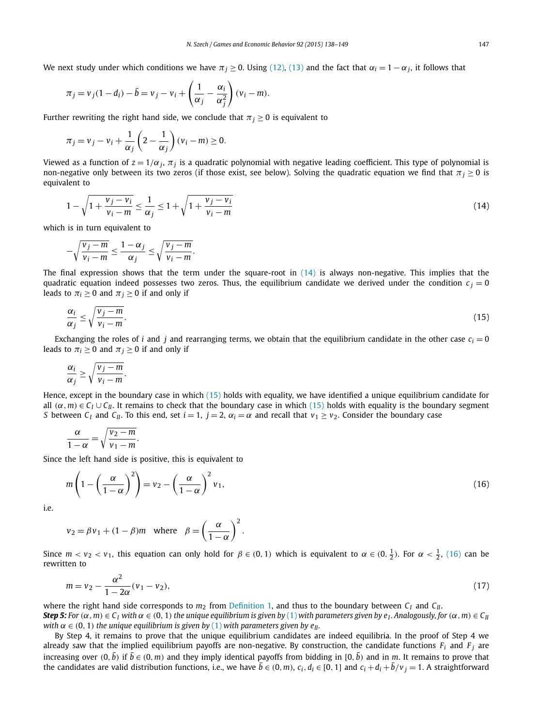We next study under which conditions we have  $\pi_j \geq 0$ . Using [\(12\),](#page-8-0) [\(13\)](#page-8-0) and the fact that  $\alpha_i = 1 - \alpha_j$ , it follows that

$$
\pi_j = v_j(1 - d_i) - \overline{b} = v_j - v_i + \left(\frac{1}{\alpha_j} - \frac{\alpha_i}{\alpha_j^2}\right)(v_i - m).
$$

Further rewriting the right hand side, we conclude that  $\pi$ *j*  $\geq$  0 is equivalent to

$$
\pi_j = v_j - v_i + \frac{1}{\alpha_j} \left( 2 - \frac{1}{\alpha_j} \right) (v_i - m) \ge 0.
$$

Viewed as a function of  $z = 1/\alpha_j$ ,  $\pi_j$  is a quadratic polynomial with negative leading coefficient. This type of polynomial is non-negative only between its two zeros (if those exist, see below). Solving the quadratic equation we find that *π<sup>j</sup>* ≥ 0 is equivalent to

$$
1 - \sqrt{1 + \frac{v_j - v_i}{v_i - m}} \le \frac{1}{\alpha_j} \le 1 + \sqrt{1 + \frac{v_j - v_i}{v_i - m}}
$$
\n(14)

which is in turn equivalent to

$$
-\sqrt{\frac{v_j-m}{v_i-m}} \le \frac{1-\alpha_j}{\alpha_j} \le \sqrt{\frac{v_j-m}{v_i-m}}.
$$

The final expression shows that the term under the square-root in  $(14)$  is always non-negative. This implies that the quadratic equation indeed possesses two zeros. Thus, the equilibrium candidate we derived under the condition  $c_i = 0$ leads to  $\pi$ <sup>*i*</sup> ≥ 0 and  $\pi$ <sup>*j*</sup> ≥ 0 if and only if

$$
\frac{\alpha_i}{\alpha_j} \le \sqrt{\frac{v_j - m}{v_i - m}}.\tag{15}
$$

Exchanging the roles of *i* and *j* and rearranging terms, we obtain that the equilibrium candidate in the other case  $c_i = 0$ leads to  $\pi$ <sup>*i*</sup>  $\geq$  0 and  $\pi$ <sup>*j*</sup>  $\geq$  0 if and only if

$$
\frac{\alpha_i}{\alpha_j} \ge \sqrt{\frac{v_j - m}{v_i - m}}.
$$

Hence, except in the boundary case in which (15) holds with equality, we have identified a unique equilibrium candidate for all  $(\alpha, m) \in C_I \cup C_{II}$ . It remains to check that the boundary case in which (15) holds with equality is the boundary segment *S* between  $C_I$  and  $C_{II}$ . To this end, set  $i = 1$ ,  $j = 2$ ,  $\alpha_i = \alpha$  and recall that  $v_1 \ge v_2$ . Consider the boundary case

$$
\frac{\alpha}{1-\alpha} = \sqrt{\frac{v_2-m}{v_1-m}}.
$$

Since the left hand side is positive, this is equivalent to

$$
m\left(1-\left(\frac{\alpha}{1-\alpha}\right)^2\right)=v_2-\left(\frac{\alpha}{1-\alpha}\right)^2v_1,\tag{16}
$$

i.e.

$$
v_2 = \beta v_1 + (1 - \beta)m
$$
 where  $\beta = \left(\frac{\alpha}{1 - \alpha}\right)^2$ .

Since  $m < v_2 < v_1$ , this equation can only hold for  $\beta \in (0,1)$  which is equivalent to  $\alpha \in (0,\frac{1}{2})$ . For  $\alpha < \frac{1}{2}$ , (16) can be rewritten to

$$
m = v_2 - \frac{\alpha^2}{1 - 2\alpha}(v_1 - v_2),\tag{17}
$$

where the right hand side corresponds to  $m_2$  from [Definition 1,](#page-2-0) and thus to the boundary between  $C_I$  and  $C_{II}$ . **Step 5:** For  $(\alpha, m) \in C_1$  with  $\alpha \in (0, 1)$  the unique equilibrium is given by [\(1\)](#page-2-0) with parameters given by e<sub>1</sub>. Analogously, for  $(\alpha, m) \in C_1$ *with*  $\alpha \in (0, 1)$  *the unique equilibrium is given by* [\(1\)](#page-2-0) *with parameters given by e<sub>II</sub>.* 

By Step 4, it remains to prove that the unique equilibrium candidates are indeed equilibria. In the proof of Step 4 we already saw that the implied equilibrium payoffs are non-negative. By construction, the candidate functions  $F_i$  and  $F_j$  are increasing over  $(0, \bar{b})$  if  $\bar{b} \in (0, m)$  and they imply identical payoffs from bidding in  $[0, \bar{b})$  and in *m*. It remains to prove that the candidates are valid distribution functions, i.e., we have  $\bar{b} \in (0, m)$ ,  $c_i$ ,  $d_i \in [0, 1]$  and  $c_i + d_i + \bar{b}/v_j = 1$ . A straightforward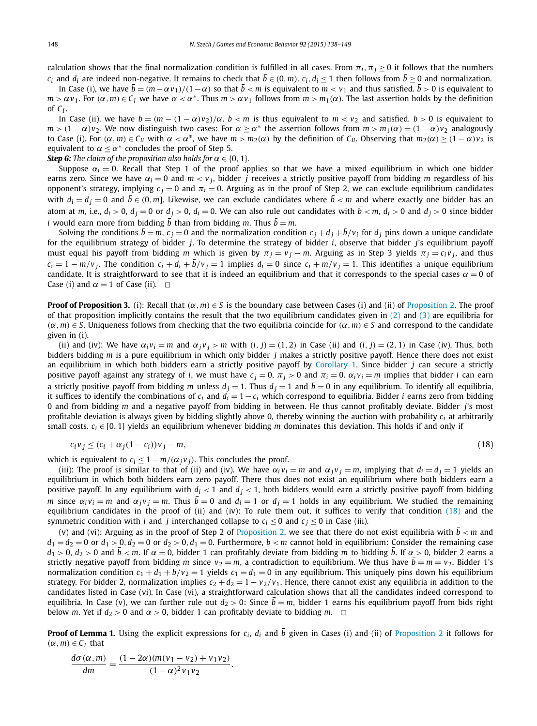calculation shows that the final normalization condition is fulfilled in all cases. From  $\pi_i$ ,  $\pi_j \geq 0$  it follows that the numbers *c<sub>i</sub>* and *d<sub>i</sub>* are indeed non-negative. It remains to check that  $\bar{b} \in (0, m)$ .  $c_i$ ,  $d_i \le 1$  then follows from  $\bar{b} > 0$  and normalization.

In Case (i), we have  $\bar{b} = (m - \alpha v_1)/(1 - \alpha)$  so that  $\bar{b} < m$  is equivalent to  $m < v_1$  and thus satisfied.  $\bar{b} > 0$  is equivalent to  $m > \alpha v_1$ . For  $(\alpha, m) \in C_1$  we have  $\alpha < \alpha^*$ . Thus  $m > \alpha v_1$  follows from  $m > m_1(\alpha)$ . The last assertion holds by the definition of *CI* .

In Case (ii), we have  $\bar{b} = (m - (1 - \alpha)v_2)/\alpha$ .  $\bar{b} < m$  is thus equivalent to  $m < v_2$  and satisfied.  $\bar{b} > 0$  is equivalent to  $m > (1 - \alpha)v_2$ . We now distinguish two cases: For  $\alpha \ge \alpha^*$  the assertion follows from  $m > m_1(\alpha) = (1 - \alpha)v_2$  analogously to Case (i). For  $(\alpha, m) \in C_{ll}$  with  $\alpha < \alpha^*$ , we have  $m > m_2(\alpha)$  by the definition of  $C_{ll}$ . Observing that  $m_2(\alpha) \ge (1 - \alpha)v_2$  is equivalent to  $\alpha \leq \alpha^*$  concludes the proof of Step 5.

*Step 6: The claim of the proposition also holds for*  $\alpha \in \{0, 1\}$ *.* 

Suppose  $\alpha_i = 0$ . Recall that Step 1 of the proof applies so that we have a mixed equilibrium in which one bidder earns zero. Since we have  $\alpha_i = 0$  and  $m < v_j$ , bidder *j* receives a strictly positive payoff from bidding *m* regardless of his opponent's strategy, implying  $c_j = 0$  and  $\pi_i = 0$ . Arguing as in the proof of Step 2, we can exclude equilibrium candidates with  $d_i = d_j = 0$  and  $\bar{b} \in (0, m]$ . Likewise, we can exclude candidates where  $\bar{b} < m$  and where exactly one bidder has an atom at m, i.e.,  $d_i > 0$ ,  $d_j = 0$  or  $d_j > 0$ ,  $d_i = 0$ . We can also rule out candidates with  $\overline{b} < m$ ,  $d_i > 0$  and  $d_i > 0$  since bidder *i* would earn more from bidding  $\bar{b}$  than from bidding  $m$ . Thus  $\bar{b} = m$ .

Solving the conditions  $\bar{b} = m$ ,  $c_j = 0$  and the normalization condition  $c_j + d_j + \bar{b}/v_i$  for  $d_j$  pins down a unique candidate for the equilibrium strategy of bidder *j*. To determine the strategy of bidder *i*, observe that bidder *j*'s equilibrium payoff must equal his payoff from bidding *m* which is given by  $\pi_j = v_j - m$ . Arguing as in Step 3 yields  $\pi_j = c_i v_j$ , and thus  $c_i = 1 - m/v_i$ . The condition  $c_i + d_i + b/v_i = 1$  implies  $d_i = 0$  since  $c_i + m/v_i = 1$ . This identifies a unique equilibrium candidate. It is straightforward to see that it is indeed an equilibrium and that it corresponds to the special cases  $\alpha = 0$  of Case (i) and  $\alpha = 1$  of Case (ii).  $\Box$ 

**Proof of Proposition 3.** (i): Recall that  $(\alpha, m) \in S$  is the boundary case between Cases (i) and (ii) of [Proposition 2.](#page-3-0) The proof of that proposition implicitly contains the result that the two equilibrium candidates given in  $(2)$  and  $(3)$  are equilibria for  $(\alpha, m) \in S$ . Uniqueness follows from checking that the two equilibria coincide for  $(\alpha, m) \in S$  and correspond to the candidate given in (i).

(ii) and (iv): We have  $\alpha_i v_i = m$  and  $\alpha_i v_i > m$  with  $(i, j) = (1, 2)$  in Case (ii) and  $(i, j) = (2, 1)$  in Case (iv). Thus, both bidders bidding *m* is a pure equilibrium in which only bidder *j* makes a strictly positive payoff. Hence there does not exist an equilibrium in which both bidders earn a strictly positive payoff by [Corollary 1.](#page-2-0) Since bidder *j* can secure a strictly positive payoff against any strategy of *i*, we must have  $c_j = 0$ ,  $\pi_j > 0$  and  $\pi_i = 0$ .  $\alpha_i v_j = m$  implies that bidder *i* can earn a strictly positive payoff from bidding *m* unless  $d_j = 1$ . Thus  $d_j = 1$  and  $\bar{b} = 0$  in any equilibrium. To identify all equilibria, it suffices to identify the combinations of  $c_i$  and  $d_i = 1 - c_i$  which correspond to equilibria. Bidder *i* earns zero from bidding 0 and from bidding *m* and a negative payoff from bidding in between. He thus cannot profitably deviate. Bidder *j*'s most profitable deviation is always given by bidding slightly above 0, thereby winning the auction with probability *ci* at arbitrarily small costs. *ci* ∈ [0*,* 1] yields an equilibrium whenever bidding *m* dominates this deviation. This holds if and only if

$$
c_i v_j \le (c_i + \alpha_j (1 - c_i)) v_j - m,\tag{18}
$$

which is equivalent to  $c_i < 1 - m/(\alpha_i v_i)$ . This concludes the proof.

(iii): The proof is similar to that of (ii) and (iv). We have  $\alpha_i v_i = m$  and  $\alpha_i v_i = m$ , implying that  $d_i = d_i = 1$  yields an equilibrium in which both bidders earn zero payoff. There thus does not exist an equilibrium where both bidders earn a positive payoff. In any equilibrium with  $d_i < 1$  and  $d_i < 1$ , both bidders would earn a strictly positive payoff from bidding *m* since  $\alpha_i v_i = m$  and  $\alpha_i v_j = m$ . Thus  $\bar{b} = 0$  and  $d_i = 1$  or  $d_j = 1$  holds in any equilibrium. We studied the remaining equilibrium candidates in the proof of (ii) and (iv): To rule them out, it suffices to verify that condition (18) and the symmetric condition with *i* and *j* interchanged collapse to  $c_i \le 0$  and  $c_j \le 0$  in Case (iii).

(v) and (vi): Arguing as in the proof of Step 2 of [Proposition 2,](#page-3-0) we see that there do not exist equilibria with  $\bar{b}$   $\lt$  *m* and  $d_1 = d_2 = 0$  or  $d_1 > 0, d_2 = 0$  or  $d_2 > 0, d_1 = 0$ . Furthermore,  $\bar{b} < m$  cannot hold in equilibrium: Consider the remaining case  $d_1 > 0$ ,  $d_2 > 0$  and  $b < m$ . If  $\alpha = 0$ , bidder 1 can profitably deviate from bidding *m* to bidding *b*. If  $\alpha > 0$ , bidder 2 earns a strictly negative payoff from bidding *m* since  $v_2 = m$ , a contradiction to equilibrium. We thus have  $\bar{b} = m = v_2$ . Bidder 1's normalization condition  $c_1 + d_1 + b/v_2 = 1$  yields  $c_1 = d_1 = 0$  in any equilibrium. This uniquely pins down his equilibrium strategy. For bidder 2, normalization implies  $c_2 + d_2 = 1 - v_2/v_1$ . Hence, there cannot exist any equilibria in addition to the candidates listed in Case (vi). In Case (vi), a straightforward calculation shows that all the candidates indeed correspond to equilibria. In Case (v), we can further rule out  $d_2 > 0$ : Since  $\bar{b} = m$ , bidder 1 earns his equilibrium payoff from bids right below *m*. Yet if  $d_2 > 0$  and  $\alpha > 0$ , bidder 1 can profitably deviate to bidding *m*.  $\Box$ 

**Proof of Lemma 1.** Using the explicit expressions for  $c_i$ ,  $d_i$  and  $\bar{b}$  given in Cases (i) and (ii) of [Proposition 2](#page-3-0) it follows for  $(\alpha, m) \in C_I$  that

$$
\frac{d\sigma(\alpha, m)}{dm} = \frac{(1 - 2\alpha)(m(v_1 - v_2) + v_1v_2)}{(1 - \alpha)^2 v_1v_2}.
$$